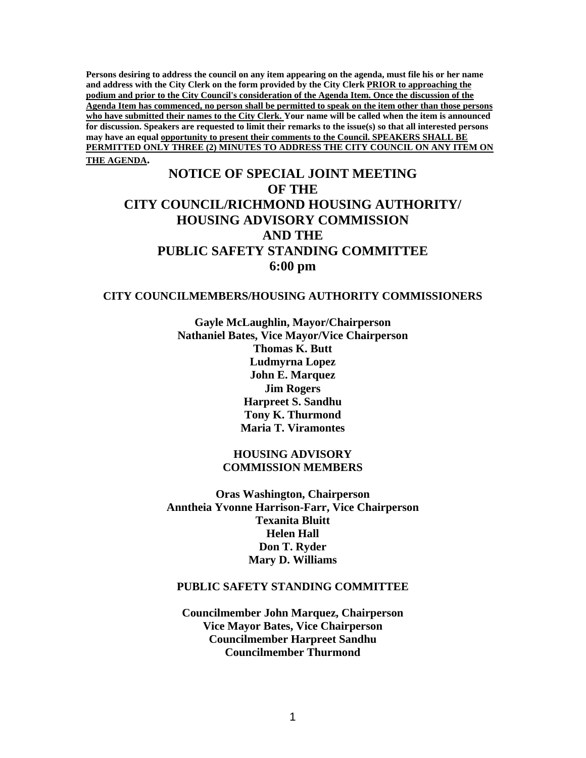**Persons desiring to address the council on any item appearing on the agenda, must file his or her name and address with the City Clerk on the form provided by the City Clerk PRIOR to approaching the podium and prior to the City Council's consideration of the Agenda Item. Once the discussion of the Agenda Item has commenced, no person shall be permitted to speak on the item other than those persons who have submitted their names to the City Clerk. Your name will be called when the item is announced for discussion. Speakers are requested to limit their remarks to the issue(s) so that all interested persons may have an equal opportunity to present their comments to the Council. SPEAKERS SHALL BE PERMITTED ONLY THREE (2) MINUTES TO ADDRESS THE CITY COUNCIL ON ANY ITEM ON THE AGENDA.** 

# **NOTICE OF SPECIAL JOINT MEETING OF THE CITY COUNCIL/RICHMOND HOUSING AUTHORITY/ HOUSING ADVISORY COMMISSION AND THE PUBLIC SAFETY STANDING COMMITTEE 6:00 pm**

#### **CITY COUNCILMEMBERS/HOUSING AUTHORITY COMMISSIONERS**

**Gayle McLaughlin, Mayor/Chairperson Nathaniel Bates, Vice Mayor/Vice Chairperson Thomas K. Butt Ludmyrna Lopez John E. Marquez Jim Rogers Harpreet S. Sandhu Tony K. Thurmond Maria T. Viramontes** 

### **HOUSING ADVISORY COMMISSION MEMBERS**

**Oras Washington, Chairperson Anntheia Yvonne Harrison-Farr, Vice Chairperson Texanita Bluitt Helen Hall Don T. Ryder Mary D. Williams** 

#### **PUBLIC SAFETY STANDING COMMITTEE**

**Councilmember John Marquez, Chairperson Vice Mayor Bates, Vice Chairperson Councilmember Harpreet Sandhu Councilmember Thurmond**